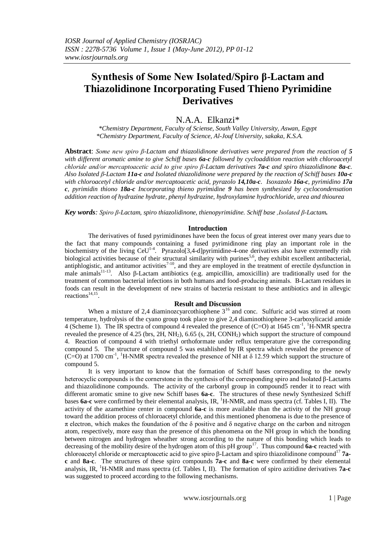# N.A.A. Elkanzi\*

*\*Chemistry Department, Faculty of Sciense, South Valley University, Aswan, Egypt \*Chemistry Department, Faculty of Science, Al-Jouf University, sakaka, K.S.A.*

**Abstract**: *Some new spiro β-Lactam and thiazolidinone derivatives were prepared from the reaction of 5 with different aromatic amine to give Schiff bases 6a-c followed by cycloaddition reaction with chloroacetyl chloride and/or mercaptoacetic acid to give spiro β-Lactam derivatives 7a-c and spiro thiazolidinone 8a-c. Also Isolated β-Lactam 11a-c and Isolated thiazolidinone were prepared by the reaction of Schiff bases 10a-c with chloroacetyl chloride and/or mercaptoacetic acid, pyrazolo 14,10a-c. Isoxazolo 16a-c, pyrimidino 17a c, pyrimidin thiono 18a-c Incorporating thieno pyrimidine 9 has been synthesized by cyclocondensation addition reaction of hydrazine hydrate, phenyl hydrazine, hydroxylamine hydrochloride, urea and thiourea*

*Key words: Spiro β-Lactam, spiro thiazolidinone, thienopyrimidine. Schiff base ,Isolated β-Lactam.* 

#### **Introduction**

The derivatives of fused pyrimidinones have been the focus of great interest over many years due to the fact that many compounds containing a fused pyrimidinone ring play an important role in the biochemistry of the living  $CeU^{1-4}$ . Pyrazolo[3,4-d]pyrimidine-4-one derivatives also have extremedly rish biological activities because of their structural similarity with purines<sup>5,6</sup>, they exhibit excellent antibacterial, antiphlogistic, and antitumor activities<sup>7-10</sup>, and they are employed in the treatment of erectile dysfunction in male animals<sup>11-13</sup>. Also β-Lactam antibiotics (e.g. ampicillin, amoxicillin) are traditionally used for the treatment of common bacterial infections in both humans and food-producing animals. Β-Lactam residues in foods can result in the development of new strains of bacteria resistant to these antibiotics and in allevgic reactions<sup>14,15</sup>.

# **Result and Discussion**

When a mixture of 2,4 diaminozcyarcothiophene  $3^{16}$  and conc. Sulfuric acid was stirred at room temperature, hydrolysis of the cyano group took place to give 2,4 diaminothiophene 3-carboxylicacid amide 4 (Scheme 1). The IR spectra of compound 4 revealed the presence of  $(C=O)$  at 1645 cm<sup>-1</sup>, <sup>1</sup>H-NMR spectra revealed the presence of 4.25 (brs,  $2H$ ,  $NH<sub>2</sub>$ ), 6.65 (s,  $2H$ , CONH<sub>2</sub>) which support the structure of compound 4. Reaction of compound 4 with triethyl orthoformate under reflux temperature give the corresponding compound 5. The structure of compound 5 was estahlished by IR spectra which revealed the presence of (C=O) at 1700 cm<sup>-1</sup>, <sup>1</sup>H-NMR spectra revealed the presence of NH at  $\delta$  12.59 which support the structure of compound 5.

It is very important to know that the formation of Schiff bases corresponding to the newly heterocyclic compounds is the cornerstone in the synthesis of the corresponding spiro and Isolated β-Lactams and thiazolidinone compounds. The activity of the carbonyl group in compound5 render it to react with different aromatic smine to give new Schiff bases **6a-c**. The structures of these newly Synthesized Schiff bases **6a-c** were confirmed by their elemental analysis, IR, <sup>1</sup>H-NMR, and mass spectra (cf. Tables I, II). The activity of the azamethine center in compound **6a-c** is more available than the activity of the NH group toward the addition process of chloroacetyl chloride, and this mentioned phenomena is due to the presence of  $\pi$  electron, which makes the foundation of the δ positive and δ negative charge on the carbon and nitrogen atom, respectively, more easy than the presence of this phenomena on the NH group in which the bonding between nitrogen and hydrogen wheather strong according to the nature of this bonding which leads to decreasing of the mobility desire of the hydrogen atom of this pH group<sup>17</sup>. Thus compound **6a-c** reacted with chloroacetyl chloride or mercaptoacetic acid to give spiro β-Lactam and spiro thiazolidinone compound<sup>17</sup> **7ac** and **8a-c**. The structures of these spiro compounds **7a-c** and **8a-c** were confirmed by their elemental analysis, IR, <sup>1</sup>H-NMR and mass spectra (cf. Tables I, II). The formation of spiro azitidine derivatives **7a-c** was suggested to proceed according to the following mechanisms.

www.iosrjournals.org 1 | Page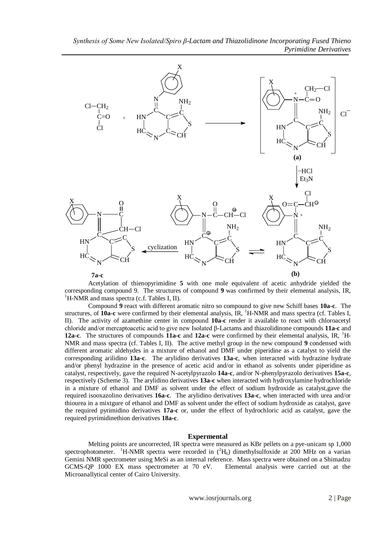

Acetylation of thienopyrimidine **5** with one mole equivalent of acetic anhydride yielded the corresponding compound 9. The structures of compound **9** was confirmed by their elemental analysis, IR,  ${}^{1}$ H-NMR and mass spectra (c.f. Tables I, II).

Compound **9** react with different aromatic nitro so compound to give new Schiff bases **10a-c**. The structures, of **10a-c** were confirmed by their elemental analysis, IR, <sup>1</sup>H-NMR and mass spectra (cf. Tables I, II). The activity of azamethine center in compound **10a-c** render it available to react with chloroacetyl chloride and/or mercaptoacetic acid to give new Isolated β-Lactams and thiazolidinone compounds **11a-c** and **12a-c**. The structures of compounds **11a-c** and **12a-c** were confirmed by their elemental analysis, IR, <sup>1</sup>H-NMR and mass spectra (cf. Tables I, II). The active methyl group in the new compound **9** condensed with different aromatic aldehydes in a mixture of ethanol and DMF under piperidine as a catalyst to yield the corresponding arilidino **13a-c**. The arylidino derivatives **13a-c**, when interacted with hydrazine hydrate and/or phenyl hydrazine in the presence of acetic acid and/or in ethanol as solvents under piperidine as catalyst, respectively, gave the required N-acetylpyrazolo **14a-c**, and/or N-phenylpyrazolo derivatives **15a-c**, respectively (Scheme 3). The arylidino derivatives **13a-c** when interacted with hydroxylamine hydrochloride in a mixture of ethanol and DMF as solvent under the effect of sodium hydroxide as catalyst,gave the required isooxazolino derivatives **16a-c**. The arylidino derivatives **13a-c**, when interacted with urea and/or thiourea in a mixtgure of ethanol and DMF as solvent under the effect of sodium hydroxide as catalyst, gave the required pyrimidino derivatives **17a-c** or, under the effect of hydrochloric acid as catalyst, gave the required pyrimidinethion derivatives **18a-c**.

#### **Expermental**

Melting points are uncorrected, IR spectra were measured as KBr pellets on a pye-unicam sp 1,000 spectrophotometer. <sup>1</sup>H-NMR spectra were recorded in  $(^{2}H_{6})$  dimethylsulfoxide at 200 MHz on a varian Gemini NMR spectrometer using MeSi as an internal reference. Mass spectra were obtained on a Shimadzu GCMS-QP 1000 EX mass spectrometer at 70 eV. Elemental analysis were carried out at the Microanallytical center of Cairo University.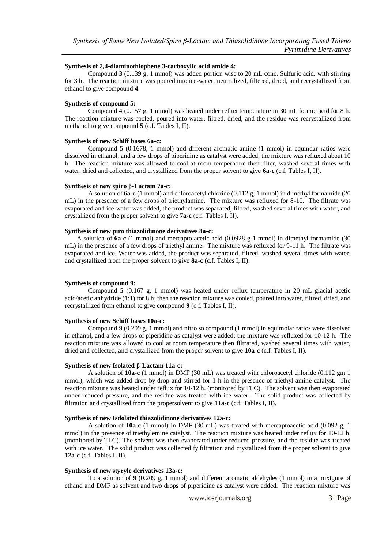#### **Synthesis of 2,4-diaminothiophene 3-carboxylic acid amide 4:**

Compound **3** (0.139 g, 1 mmol) was added portion wise to 20 mL conc. Sulfuric acid, with stirring for 3 h. The reaction mixture was poured into ice-water, neutralized, filtered, dried, and recrystallized from ethanol to give compound **4**.

#### **Synthesis of compound 5:**

Compound 4 (0.157 g, 1 mmol) was heated under reflux temperature in 30 mL formic acid for 8 h. The reaction mixture was cooled, poured into water, filtred, dried, and the residue was recrystallized from methanol to give compound **5** (c.f. Tables I, II).

#### **Synthesis of new Schiff bases 6a-c:**

Compound 5 (0.1678, 1 mmol) and different aromatic amine (1 mmol) in equindar ratios were dissolved in ethanol, and a few drops of piperidine as catalyst were added; the mixture was refluxed about 10 h. The reaction mixture was allowed to cool at room temperature then filter, washed several times with water, dried and collected, and crystallized from the proper solvent to give **6a-c** (c.f. Tables I, II).

#### **Synthesis of new spiro β-Lactam 7a-c:**

A solution of **6a-c** (1 mmol) and chloroacetyl chloride (0.112 g, 1 mmol) in dimethyl formamide (20 mL) in the presence of a few drops of triethylamine. The mixture was refluxed for 8-10. The filtrate was evaporated and ice-water was added, the product was separated, filtred, washed several times with water, and crystallized from the proper solvent to give **7a-c** (c.f. Tables I, II).

#### **Synthesis of new piro thiazolidinone derivatives 8a-c:**

 A solution of **6a-c** (1 mmol) and mercapto acetic acid (0.0928 g 1 mmol) in dimethyl formamide (30 mL) in the presence of a few drops of triethyl amine. The mixture was refluxed for 9-11 h. The filtrate was evaporated and ice. Water was added, the product was separated, filtred, washed several times with water, and crystallized from the proper solvent to give **8a-c** (c.f. Tables I, II).

# **Synthesis of compound 9:**

Compound **5** (0.167 g, 1 mmol) was heated under reflux temperature in 20 mL glacial acetic acid/acetic anhydride (1:1) for 8 h; then the reaction mixture was cooled, poured into water, filtred, dried, and recrystallized from ethanol to give compound **9** (c.f. Tables I, II).

#### **Synthesis of new Schiff bases 10a-c:**

Compound **9** (0.209 g, 1 mmol) and nitro so compound (1 mmol) in equimolar ratios were dissolved in ethanol, and a few drops of piperidine as catalyst were added; the mixture was refluxed for 10-12 h. The reaction mixture was allowed to cool at room temperature then filtrated, washed several times with water, dried and collected, and crystallized from the proper solvent to give **10a-c** (c.f. Tables I, II).

#### **Synthesis of new Isolated β-Lactam 11a-c:**

A solution of **10a-c** (1 mmol) in DMF (30 mL) was treated with chloroacetyl chloride (0.112 gm 1 mmol), which was added drop by drop and stirred for 1 h in the presence of triethyl amine catalyst. The reaction mixture was heated under reflux for 10-12 h. (monitored by TLC). The solvent was then evaporated under reduced pressure, and the residue was treated with ice water. The solid product was collected by filtration and crystallized from the propersolvent to give **11a-c** (c.f. Tables I, II).

#### **Synthesis of new Isdolated thiazolidinone derivatives 12a-c:**

A solution of **10a-c** (1 mmol) in DMF (30 mL) was treated with mercaptoacetic acid (0.092 g, 1 mmol) in the presence of triethylemine catalyst. The reaction mixture was heated under reflux for 10-12 h. (monitored by TLC). The solvent was then evaporated under reduced pressure, and the residue was treated with ice water. The solid product was collected fy filtration and crystallized from the proper solvent to give **12a-c** (c.f. Tables I, II).

#### **Synthesis of new styryle derivatives 13a-c:**

To a solution of **9** (0.209 g, 1 mmol) and different aromatic aldehydes (1 mmol) in a mixtgure of ethand and DMF as solvent and two drops of piperidine as catalyst were added. The reaction mixture was

www.iosrjournals.org 3 | Page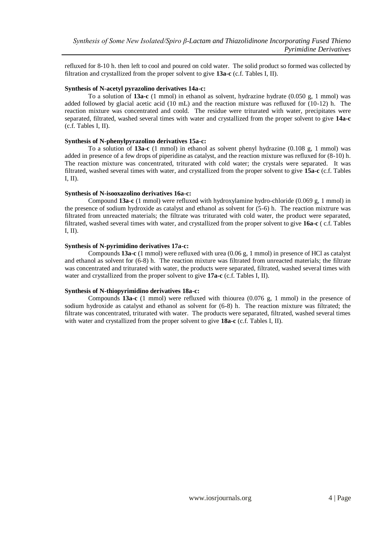refluxed for 8-10 h. then left to cool and poured on cold water. The solid product so formed was collected by filtration and crystallized from the proper solvent to give **13a-c** (c.f. Tables I, II).

# **Synthesis of N-acetyl pyrazolino derivatives 14a-c:**

To a solution of **13a-c** (1 mmol) in ethanol as solvent, hydrazine hydrate (0.050 g, 1 mmol) was added followed by glacial acetic acid (10 mL) and the reaction mixture was refluxed for (10-12) h. The reaction mixture was concentrated and coold. The residue were triturated with water, precipitates were separated, filtrated, washed several times with water and crystallized from the proper solvent to give **14a-c** (c.f. Tables I, II).

# **Synthesis of N-phenylpyrazolino derivatives 15a-c:**

To a solution of **13a-c** (1 mmol) in ethanol as solvent phenyl hydrazine (0.108 g, 1 mmol) was added in presence of a few drops of piperidine as catalyst, and the reaction mixture was refluxed for (8-10) h. The reaction mixture was concentrated, triturated with cold water; the crystals were separated. It was filtrated, washed several times with water, and crystallized from the proper solvent to give **15a-c** (c.f. Tables I, II).

# **Synthesis of N-isooxazolino derivatives 16a-c:**

Compound **13a-c** (1 mmol) were refluxed with hydroxylamine hydro-chloride (0.069 g, 1 mmol) in the presence of sodium hydroxide as catalyst and ethanol as solvent for (5-6) h. The reaction mixtrure was filtrated from unreacted materials; the filtrate was triturated with cold water, the product were separated, filtrated, washed several times with water, and crystallized from the proper solvent to give **16a-c** ( c.f. Tables I, II).

# **Synthesis of N-pyrimidino derivatives 17a-c:**

Compounds **13a-c** (1 mmol) were refluxed with urea (0.06 g, 1 mmol) in presence of HCl as catalyst and ethanol as solvent for (6-8) h. The reaction mixture was filtrated from unreacted materials; the filtrate was concentrated and triturated with water, the products were separated, filtrated, washed several times with water and crystallized from the proper solvent to give **17a-c** (c.f. Tables I, II).

# **Synthesis of N-thiopyrimidino derivatives 18a-c:**

Compounds **13a-c** (1 mmol) were refluxed with thiourea (0.076 g, 1 mmol) in the presence of sodium hydroxide as catalyst and ethanol as solvent for (6-8) h. The reaction mixture was filtrated; the filtrate was concentrated, triturated with water. The products were separated, filtrated, washed several times with water and crystallized from the proper solvent to give **18a-c** (c.f. Tables I, II).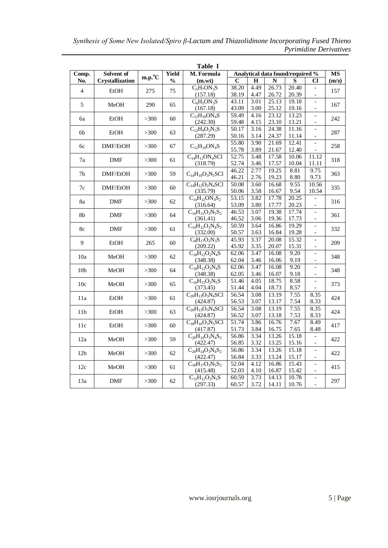| Solvent of<br><b>Yield</b><br>Analytical data found/required %<br>Comp.<br>M. Formula<br><b>MS</b><br>$m.p.^{\circ}C$<br><b>Crystallization</b><br>$\frac{0}{0}$<br>C<br>Н<br>N<br>S<br>Cl<br>No.<br>(m.wt)<br>(m/z)<br>4.49<br>$C_5H_7ON_3S$<br>38.20<br>26.73<br>20.40<br>$\overline{\phantom{a}}$<br>$\overline{4}$<br><b>EtOH</b><br>275<br>75<br>157<br>(157.18)<br>38.19<br>4.47<br>26.72<br>20.39<br>$C_6H_5ON_3S$<br>43.11<br>3.01<br>25.13<br>19.18<br>$\overline{\phantom{0}}$<br>5<br>MeOH<br>290<br>65<br>167<br>43.09<br>3.00<br>25.12<br>19.16<br>(167.18)<br>$\overline{\phantom{a}}$<br>$\overline{59.49}$<br>4.16<br>23.12<br>13.23<br>$C_{12}H_{10}ON_4S$<br>$\overline{\phantom{a}}$<br><b>EtOH</b><br>>300<br>60<br>242<br>6a<br>59.48<br>4.15<br>23.10<br>13.21<br>(242.30)<br>$\overline{\phantom{a}}$<br>50.17<br>24.38<br>$C_{12}H_9O_2N_3S$<br>3.16<br>11.16<br>$\frac{1}{2}$<br>EtOH<br>63<br>287<br>6b<br>>300<br>3.14<br>24.37<br>11.14<br>(287.29)<br>50.16<br>$\overline{a}$<br>3.90<br>55.80<br>21.69<br>12.41<br>$\overline{a}$<br>DMF/EtOH<br>>300<br>67<br>$C_{12}H_{10}ON_4S$<br>258<br>6c<br>55.78<br>3.89<br>21.67<br>12.40<br>$C_{14}H_{11}ON_4SC1$<br>52.75<br>3.48<br>17.58<br>10.06<br>11.12<br><b>DMF</b><br>61<br>318<br>7a<br>>300<br>52.74<br>17.57<br>(318.79)<br>3.46<br>10.04<br>11.11<br>46.22<br>2.77<br>8.81<br>9.75<br>19.25<br>59<br>$C_{14}H_{10}O_3N_5SC1$<br>7 <sub>b</sub><br>DMF/EtOH<br>>300<br>363<br>19.23<br>9.73<br>46.21<br>2.76<br>8.80<br>9.55<br>$C_{14}H_{12}O_2N_4SC1$<br>50.08<br>3.60<br>16.68<br>10.56<br>60<br>7c<br>DMF/EtOH<br>>300<br>335<br>50.06<br>3.58<br>16.67<br>9.54<br>10.54<br>(335.79)<br>53.15<br>3.82<br>17.78<br>20.25<br>$C_{14}H_{12}ON_4S_2$<br>$\overline{\phantom{a}}$<br>8a<br><b>DMF</b><br>>300<br>62<br>316<br>53.09<br>3.80<br>17.77<br>20.23<br>(316.64)<br>$\overline{\phantom{a}}$<br>3.07<br>19.38<br>17.74<br>$C_{14}H_{11}O_3N_5S_2$<br>46.53<br>$\overline{\phantom{a}}$<br>8b<br><b>DMF</b><br>>300<br>64<br>361<br>46.52<br>3.06<br>19.36<br>17.73<br>(361.41)<br>$\overline{\phantom{m}}$<br>19.29<br>50.59<br>3.64<br>16.86<br>$C_{14}H_{12}O_2N_4S_2$<br>$\frac{1}{2}$<br><b>DMF</b><br>332<br>8c<br>>300<br>61<br>3.63<br>19.28<br>(332.00)<br>50.57<br>16.84<br>$\overline{a}$<br>$C_8H_{17}O_2N_3S$<br>45.93<br>3.37<br>20.08<br>15.32<br>$\overline{\phantom{a}}$<br>9<br>EtOH<br>265<br>60<br>209<br>(209.22)<br>45.92<br>3.35<br>20.07<br>15.31<br>$\overline{\phantom{0}}$<br>3.47<br>9.20<br>$C_{18}H_{12}O_2N_4S$<br>62.06<br>16.08<br>$\overline{a}$<br>MeOH<br>62<br>348<br>10a<br>>300<br>(348.38)<br>62.04<br>3.46<br>16.06<br>9.19<br>$\overline{\phantom{a}}$<br>$C_{18}H_{12}O_2N_4S$<br>3.47<br>9.20<br>62.06<br>16.08<br>$\overline{\phantom{a}}$<br>10 <sub>b</sub><br>MeOH<br>64<br>348<br>>300<br>(348.38)<br>62.05<br>3.46<br>16.07<br>9.18<br>$\overline{\phantom{a}}$<br>4.05<br>18.75<br>$C_{16}H_{15}O_2N_5S$<br>51.46<br>8.58<br>$\overline{\phantom{m}}$<br>10c<br>MeOH<br>>300<br>65<br>373<br>51.44<br>4.04<br>18.73<br>8.57<br>(373.45)<br>$\overline{56.54}$<br>3.08<br>13.19<br>7.55<br>$C_{20}H_{13}O_3N_4SC1$<br>8.35<br>11a<br><b>EtOH</b><br>>300<br>61<br>424<br>3.07<br>13.17<br>7.54<br>8.33<br>(424.87)<br>56.53<br>56.54<br>3.08<br>13.19<br>7.55<br>8.35<br>$C_{20}H_{13}O_3N_4SC1$<br>424<br>11 <sub>b</sub><br><b>EtOH</b><br>>300<br>63<br>3.07<br>13.18<br>7.53<br>8.33<br>(424.87)<br>56.52<br>$C_{18}H_{16}O_3N_5SC1$<br>51.74<br>3.86<br>16.76<br>7.67<br>8.49<br>EtOH<br>417<br>11c<br>>300<br>60<br>7.65<br>(417.87)<br>51.73<br>3.84<br>16.75<br>8.48<br>15.18<br>$C_{20}H_{14}O_3N_4S_2$<br>56.86<br>3.34<br>13.26<br>59<br>12a<br>MeOH<br>>300<br>422<br>3.32<br>13.25<br>(422.47)<br>56.85<br>15.16<br>$\overline{\phantom{0}}$<br>3.34<br>13.26<br>15.18<br>$C_{20}H_{14}O_3N_4S_2$<br>56.86<br>$\overline{a}$<br>12 <sub>b</sub><br>MeOH<br>62<br>422<br>>300<br>13.24<br>(422.47)<br>56.84<br>3.33<br>15.17<br>$\overline{\phantom{a}}$<br>4.12<br>$C_{18}H_{17}O_3N_5S_2$<br>52.04<br>16.86<br>15.43<br>$\overline{\phantom{a}}$<br>12c<br>MeOH<br>>300<br>61<br>415<br>52.03<br>4.10<br>16.87<br>15.42<br>(415.48)<br>$\overline{\phantom{a}}$<br>14.13<br>10.78<br>$C_{15}H_{11}O_2N_5S$<br>60.59<br>3.73<br>$\qquad \qquad -$<br>297<br>13a<br>DMF<br>>300<br>62<br>$\overline{a}$ |  |  | Table I  |       |      |       |       |  |
|------------------------------------------------------------------------------------------------------------------------------------------------------------------------------------------------------------------------------------------------------------------------------------------------------------------------------------------------------------------------------------------------------------------------------------------------------------------------------------------------------------------------------------------------------------------------------------------------------------------------------------------------------------------------------------------------------------------------------------------------------------------------------------------------------------------------------------------------------------------------------------------------------------------------------------------------------------------------------------------------------------------------------------------------------------------------------------------------------------------------------------------------------------------------------------------------------------------------------------------------------------------------------------------------------------------------------------------------------------------------------------------------------------------------------------------------------------------------------------------------------------------------------------------------------------------------------------------------------------------------------------------------------------------------------------------------------------------------------------------------------------------------------------------------------------------------------------------------------------------------------------------------------------------------------------------------------------------------------------------------------------------------------------------------------------------------------------------------------------------------------------------------------------------------------------------------------------------------------------------------------------------------------------------------------------------------------------------------------------------------------------------------------------------------------------------------------------------------------------------------------------------------------------------------------------------------------------------------------------------------------------------------------------------------------------------------------------------------------------------------------------------------------------------------------------------------------------------------------------------------------------------------------------------------------------------------------------------------------------------------------------------------------------------------------------------------------------------------------------------------------------------------------------------------------------------------------------------------------------------------------------------------------------------------------------------------------------------------------------------------------------------------------------------------------------------------------------------------------------------------------------------------------------------------------------------------------------------------------------------------------------------------------------------------------------------------------------------------------------------------------------------------------------------------------------------------------------------------------------------------------------------------------------------------------------------------------------------------------------------------------------------------------------------------------------------------------------------------------------------------------------------------------------------------------------------------------------------------------------------------------------------------------------------------------------------------------------------------------------------|--|--|----------|-------|------|-------|-------|--|
|                                                                                                                                                                                                                                                                                                                                                                                                                                                                                                                                                                                                                                                                                                                                                                                                                                                                                                                                                                                                                                                                                                                                                                                                                                                                                                                                                                                                                                                                                                                                                                                                                                                                                                                                                                                                                                                                                                                                                                                                                                                                                                                                                                                                                                                                                                                                                                                                                                                                                                                                                                                                                                                                                                                                                                                                                                                                                                                                                                                                                                                                                                                                                                                                                                                                                                                                                                                                                                                                                                                                                                                                                                                                                                                                                                                                                                                                                                                                                                                                                                                                                                                                                                                                                                                                                                                                                                  |  |  |          |       |      |       |       |  |
|                                                                                                                                                                                                                                                                                                                                                                                                                                                                                                                                                                                                                                                                                                                                                                                                                                                                                                                                                                                                                                                                                                                                                                                                                                                                                                                                                                                                                                                                                                                                                                                                                                                                                                                                                                                                                                                                                                                                                                                                                                                                                                                                                                                                                                                                                                                                                                                                                                                                                                                                                                                                                                                                                                                                                                                                                                                                                                                                                                                                                                                                                                                                                                                                                                                                                                                                                                                                                                                                                                                                                                                                                                                                                                                                                                                                                                                                                                                                                                                                                                                                                                                                                                                                                                                                                                                                                                  |  |  |          |       |      |       |       |  |
|                                                                                                                                                                                                                                                                                                                                                                                                                                                                                                                                                                                                                                                                                                                                                                                                                                                                                                                                                                                                                                                                                                                                                                                                                                                                                                                                                                                                                                                                                                                                                                                                                                                                                                                                                                                                                                                                                                                                                                                                                                                                                                                                                                                                                                                                                                                                                                                                                                                                                                                                                                                                                                                                                                                                                                                                                                                                                                                                                                                                                                                                                                                                                                                                                                                                                                                                                                                                                                                                                                                                                                                                                                                                                                                                                                                                                                                                                                                                                                                                                                                                                                                                                                                                                                                                                                                                                                  |  |  |          |       |      |       |       |  |
|                                                                                                                                                                                                                                                                                                                                                                                                                                                                                                                                                                                                                                                                                                                                                                                                                                                                                                                                                                                                                                                                                                                                                                                                                                                                                                                                                                                                                                                                                                                                                                                                                                                                                                                                                                                                                                                                                                                                                                                                                                                                                                                                                                                                                                                                                                                                                                                                                                                                                                                                                                                                                                                                                                                                                                                                                                                                                                                                                                                                                                                                                                                                                                                                                                                                                                                                                                                                                                                                                                                                                                                                                                                                                                                                                                                                                                                                                                                                                                                                                                                                                                                                                                                                                                                                                                                                                                  |  |  |          |       |      |       |       |  |
|                                                                                                                                                                                                                                                                                                                                                                                                                                                                                                                                                                                                                                                                                                                                                                                                                                                                                                                                                                                                                                                                                                                                                                                                                                                                                                                                                                                                                                                                                                                                                                                                                                                                                                                                                                                                                                                                                                                                                                                                                                                                                                                                                                                                                                                                                                                                                                                                                                                                                                                                                                                                                                                                                                                                                                                                                                                                                                                                                                                                                                                                                                                                                                                                                                                                                                                                                                                                                                                                                                                                                                                                                                                                                                                                                                                                                                                                                                                                                                                                                                                                                                                                                                                                                                                                                                                                                                  |  |  |          |       |      |       |       |  |
|                                                                                                                                                                                                                                                                                                                                                                                                                                                                                                                                                                                                                                                                                                                                                                                                                                                                                                                                                                                                                                                                                                                                                                                                                                                                                                                                                                                                                                                                                                                                                                                                                                                                                                                                                                                                                                                                                                                                                                                                                                                                                                                                                                                                                                                                                                                                                                                                                                                                                                                                                                                                                                                                                                                                                                                                                                                                                                                                                                                                                                                                                                                                                                                                                                                                                                                                                                                                                                                                                                                                                                                                                                                                                                                                                                                                                                                                                                                                                                                                                                                                                                                                                                                                                                                                                                                                                                  |  |  |          |       |      |       |       |  |
|                                                                                                                                                                                                                                                                                                                                                                                                                                                                                                                                                                                                                                                                                                                                                                                                                                                                                                                                                                                                                                                                                                                                                                                                                                                                                                                                                                                                                                                                                                                                                                                                                                                                                                                                                                                                                                                                                                                                                                                                                                                                                                                                                                                                                                                                                                                                                                                                                                                                                                                                                                                                                                                                                                                                                                                                                                                                                                                                                                                                                                                                                                                                                                                                                                                                                                                                                                                                                                                                                                                                                                                                                                                                                                                                                                                                                                                                                                                                                                                                                                                                                                                                                                                                                                                                                                                                                                  |  |  |          |       |      |       |       |  |
|                                                                                                                                                                                                                                                                                                                                                                                                                                                                                                                                                                                                                                                                                                                                                                                                                                                                                                                                                                                                                                                                                                                                                                                                                                                                                                                                                                                                                                                                                                                                                                                                                                                                                                                                                                                                                                                                                                                                                                                                                                                                                                                                                                                                                                                                                                                                                                                                                                                                                                                                                                                                                                                                                                                                                                                                                                                                                                                                                                                                                                                                                                                                                                                                                                                                                                                                                                                                                                                                                                                                                                                                                                                                                                                                                                                                                                                                                                                                                                                                                                                                                                                                                                                                                                                                                                                                                                  |  |  |          |       |      |       |       |  |
|                                                                                                                                                                                                                                                                                                                                                                                                                                                                                                                                                                                                                                                                                                                                                                                                                                                                                                                                                                                                                                                                                                                                                                                                                                                                                                                                                                                                                                                                                                                                                                                                                                                                                                                                                                                                                                                                                                                                                                                                                                                                                                                                                                                                                                                                                                                                                                                                                                                                                                                                                                                                                                                                                                                                                                                                                                                                                                                                                                                                                                                                                                                                                                                                                                                                                                                                                                                                                                                                                                                                                                                                                                                                                                                                                                                                                                                                                                                                                                                                                                                                                                                                                                                                                                                                                                                                                                  |  |  |          |       |      |       |       |  |
|                                                                                                                                                                                                                                                                                                                                                                                                                                                                                                                                                                                                                                                                                                                                                                                                                                                                                                                                                                                                                                                                                                                                                                                                                                                                                                                                                                                                                                                                                                                                                                                                                                                                                                                                                                                                                                                                                                                                                                                                                                                                                                                                                                                                                                                                                                                                                                                                                                                                                                                                                                                                                                                                                                                                                                                                                                                                                                                                                                                                                                                                                                                                                                                                                                                                                                                                                                                                                                                                                                                                                                                                                                                                                                                                                                                                                                                                                                                                                                                                                                                                                                                                                                                                                                                                                                                                                                  |  |  |          |       |      |       |       |  |
|                                                                                                                                                                                                                                                                                                                                                                                                                                                                                                                                                                                                                                                                                                                                                                                                                                                                                                                                                                                                                                                                                                                                                                                                                                                                                                                                                                                                                                                                                                                                                                                                                                                                                                                                                                                                                                                                                                                                                                                                                                                                                                                                                                                                                                                                                                                                                                                                                                                                                                                                                                                                                                                                                                                                                                                                                                                                                                                                                                                                                                                                                                                                                                                                                                                                                                                                                                                                                                                                                                                                                                                                                                                                                                                                                                                                                                                                                                                                                                                                                                                                                                                                                                                                                                                                                                                                                                  |  |  |          |       |      |       |       |  |
|                                                                                                                                                                                                                                                                                                                                                                                                                                                                                                                                                                                                                                                                                                                                                                                                                                                                                                                                                                                                                                                                                                                                                                                                                                                                                                                                                                                                                                                                                                                                                                                                                                                                                                                                                                                                                                                                                                                                                                                                                                                                                                                                                                                                                                                                                                                                                                                                                                                                                                                                                                                                                                                                                                                                                                                                                                                                                                                                                                                                                                                                                                                                                                                                                                                                                                                                                                                                                                                                                                                                                                                                                                                                                                                                                                                                                                                                                                                                                                                                                                                                                                                                                                                                                                                                                                                                                                  |  |  |          |       |      |       |       |  |
|                                                                                                                                                                                                                                                                                                                                                                                                                                                                                                                                                                                                                                                                                                                                                                                                                                                                                                                                                                                                                                                                                                                                                                                                                                                                                                                                                                                                                                                                                                                                                                                                                                                                                                                                                                                                                                                                                                                                                                                                                                                                                                                                                                                                                                                                                                                                                                                                                                                                                                                                                                                                                                                                                                                                                                                                                                                                                                                                                                                                                                                                                                                                                                                                                                                                                                                                                                                                                                                                                                                                                                                                                                                                                                                                                                                                                                                                                                                                                                                                                                                                                                                                                                                                                                                                                                                                                                  |  |  |          |       |      |       |       |  |
|                                                                                                                                                                                                                                                                                                                                                                                                                                                                                                                                                                                                                                                                                                                                                                                                                                                                                                                                                                                                                                                                                                                                                                                                                                                                                                                                                                                                                                                                                                                                                                                                                                                                                                                                                                                                                                                                                                                                                                                                                                                                                                                                                                                                                                                                                                                                                                                                                                                                                                                                                                                                                                                                                                                                                                                                                                                                                                                                                                                                                                                                                                                                                                                                                                                                                                                                                                                                                                                                                                                                                                                                                                                                                                                                                                                                                                                                                                                                                                                                                                                                                                                                                                                                                                                                                                                                                                  |  |  |          |       |      |       |       |  |
|                                                                                                                                                                                                                                                                                                                                                                                                                                                                                                                                                                                                                                                                                                                                                                                                                                                                                                                                                                                                                                                                                                                                                                                                                                                                                                                                                                                                                                                                                                                                                                                                                                                                                                                                                                                                                                                                                                                                                                                                                                                                                                                                                                                                                                                                                                                                                                                                                                                                                                                                                                                                                                                                                                                                                                                                                                                                                                                                                                                                                                                                                                                                                                                                                                                                                                                                                                                                                                                                                                                                                                                                                                                                                                                                                                                                                                                                                                                                                                                                                                                                                                                                                                                                                                                                                                                                                                  |  |  |          |       |      |       |       |  |
|                                                                                                                                                                                                                                                                                                                                                                                                                                                                                                                                                                                                                                                                                                                                                                                                                                                                                                                                                                                                                                                                                                                                                                                                                                                                                                                                                                                                                                                                                                                                                                                                                                                                                                                                                                                                                                                                                                                                                                                                                                                                                                                                                                                                                                                                                                                                                                                                                                                                                                                                                                                                                                                                                                                                                                                                                                                                                                                                                                                                                                                                                                                                                                                                                                                                                                                                                                                                                                                                                                                                                                                                                                                                                                                                                                                                                                                                                                                                                                                                                                                                                                                                                                                                                                                                                                                                                                  |  |  |          |       |      |       |       |  |
|                                                                                                                                                                                                                                                                                                                                                                                                                                                                                                                                                                                                                                                                                                                                                                                                                                                                                                                                                                                                                                                                                                                                                                                                                                                                                                                                                                                                                                                                                                                                                                                                                                                                                                                                                                                                                                                                                                                                                                                                                                                                                                                                                                                                                                                                                                                                                                                                                                                                                                                                                                                                                                                                                                                                                                                                                                                                                                                                                                                                                                                                                                                                                                                                                                                                                                                                                                                                                                                                                                                                                                                                                                                                                                                                                                                                                                                                                                                                                                                                                                                                                                                                                                                                                                                                                                                                                                  |  |  |          |       |      |       |       |  |
|                                                                                                                                                                                                                                                                                                                                                                                                                                                                                                                                                                                                                                                                                                                                                                                                                                                                                                                                                                                                                                                                                                                                                                                                                                                                                                                                                                                                                                                                                                                                                                                                                                                                                                                                                                                                                                                                                                                                                                                                                                                                                                                                                                                                                                                                                                                                                                                                                                                                                                                                                                                                                                                                                                                                                                                                                                                                                                                                                                                                                                                                                                                                                                                                                                                                                                                                                                                                                                                                                                                                                                                                                                                                                                                                                                                                                                                                                                                                                                                                                                                                                                                                                                                                                                                                                                                                                                  |  |  |          |       |      |       |       |  |
|                                                                                                                                                                                                                                                                                                                                                                                                                                                                                                                                                                                                                                                                                                                                                                                                                                                                                                                                                                                                                                                                                                                                                                                                                                                                                                                                                                                                                                                                                                                                                                                                                                                                                                                                                                                                                                                                                                                                                                                                                                                                                                                                                                                                                                                                                                                                                                                                                                                                                                                                                                                                                                                                                                                                                                                                                                                                                                                                                                                                                                                                                                                                                                                                                                                                                                                                                                                                                                                                                                                                                                                                                                                                                                                                                                                                                                                                                                                                                                                                                                                                                                                                                                                                                                                                                                                                                                  |  |  |          |       |      |       |       |  |
|                                                                                                                                                                                                                                                                                                                                                                                                                                                                                                                                                                                                                                                                                                                                                                                                                                                                                                                                                                                                                                                                                                                                                                                                                                                                                                                                                                                                                                                                                                                                                                                                                                                                                                                                                                                                                                                                                                                                                                                                                                                                                                                                                                                                                                                                                                                                                                                                                                                                                                                                                                                                                                                                                                                                                                                                                                                                                                                                                                                                                                                                                                                                                                                                                                                                                                                                                                                                                                                                                                                                                                                                                                                                                                                                                                                                                                                                                                                                                                                                                                                                                                                                                                                                                                                                                                                                                                  |  |  |          |       |      |       |       |  |
|                                                                                                                                                                                                                                                                                                                                                                                                                                                                                                                                                                                                                                                                                                                                                                                                                                                                                                                                                                                                                                                                                                                                                                                                                                                                                                                                                                                                                                                                                                                                                                                                                                                                                                                                                                                                                                                                                                                                                                                                                                                                                                                                                                                                                                                                                                                                                                                                                                                                                                                                                                                                                                                                                                                                                                                                                                                                                                                                                                                                                                                                                                                                                                                                                                                                                                                                                                                                                                                                                                                                                                                                                                                                                                                                                                                                                                                                                                                                                                                                                                                                                                                                                                                                                                                                                                                                                                  |  |  |          |       |      |       |       |  |
|                                                                                                                                                                                                                                                                                                                                                                                                                                                                                                                                                                                                                                                                                                                                                                                                                                                                                                                                                                                                                                                                                                                                                                                                                                                                                                                                                                                                                                                                                                                                                                                                                                                                                                                                                                                                                                                                                                                                                                                                                                                                                                                                                                                                                                                                                                                                                                                                                                                                                                                                                                                                                                                                                                                                                                                                                                                                                                                                                                                                                                                                                                                                                                                                                                                                                                                                                                                                                                                                                                                                                                                                                                                                                                                                                                                                                                                                                                                                                                                                                                                                                                                                                                                                                                                                                                                                                                  |  |  |          |       |      |       |       |  |
|                                                                                                                                                                                                                                                                                                                                                                                                                                                                                                                                                                                                                                                                                                                                                                                                                                                                                                                                                                                                                                                                                                                                                                                                                                                                                                                                                                                                                                                                                                                                                                                                                                                                                                                                                                                                                                                                                                                                                                                                                                                                                                                                                                                                                                                                                                                                                                                                                                                                                                                                                                                                                                                                                                                                                                                                                                                                                                                                                                                                                                                                                                                                                                                                                                                                                                                                                                                                                                                                                                                                                                                                                                                                                                                                                                                                                                                                                                                                                                                                                                                                                                                                                                                                                                                                                                                                                                  |  |  |          |       |      |       |       |  |
|                                                                                                                                                                                                                                                                                                                                                                                                                                                                                                                                                                                                                                                                                                                                                                                                                                                                                                                                                                                                                                                                                                                                                                                                                                                                                                                                                                                                                                                                                                                                                                                                                                                                                                                                                                                                                                                                                                                                                                                                                                                                                                                                                                                                                                                                                                                                                                                                                                                                                                                                                                                                                                                                                                                                                                                                                                                                                                                                                                                                                                                                                                                                                                                                                                                                                                                                                                                                                                                                                                                                                                                                                                                                                                                                                                                                                                                                                                                                                                                                                                                                                                                                                                                                                                                                                                                                                                  |  |  |          |       |      |       |       |  |
|                                                                                                                                                                                                                                                                                                                                                                                                                                                                                                                                                                                                                                                                                                                                                                                                                                                                                                                                                                                                                                                                                                                                                                                                                                                                                                                                                                                                                                                                                                                                                                                                                                                                                                                                                                                                                                                                                                                                                                                                                                                                                                                                                                                                                                                                                                                                                                                                                                                                                                                                                                                                                                                                                                                                                                                                                                                                                                                                                                                                                                                                                                                                                                                                                                                                                                                                                                                                                                                                                                                                                                                                                                                                                                                                                                                                                                                                                                                                                                                                                                                                                                                                                                                                                                                                                                                                                                  |  |  |          |       |      |       |       |  |
|                                                                                                                                                                                                                                                                                                                                                                                                                                                                                                                                                                                                                                                                                                                                                                                                                                                                                                                                                                                                                                                                                                                                                                                                                                                                                                                                                                                                                                                                                                                                                                                                                                                                                                                                                                                                                                                                                                                                                                                                                                                                                                                                                                                                                                                                                                                                                                                                                                                                                                                                                                                                                                                                                                                                                                                                                                                                                                                                                                                                                                                                                                                                                                                                                                                                                                                                                                                                                                                                                                                                                                                                                                                                                                                                                                                                                                                                                                                                                                                                                                                                                                                                                                                                                                                                                                                                                                  |  |  |          |       |      |       |       |  |
|                                                                                                                                                                                                                                                                                                                                                                                                                                                                                                                                                                                                                                                                                                                                                                                                                                                                                                                                                                                                                                                                                                                                                                                                                                                                                                                                                                                                                                                                                                                                                                                                                                                                                                                                                                                                                                                                                                                                                                                                                                                                                                                                                                                                                                                                                                                                                                                                                                                                                                                                                                                                                                                                                                                                                                                                                                                                                                                                                                                                                                                                                                                                                                                                                                                                                                                                                                                                                                                                                                                                                                                                                                                                                                                                                                                                                                                                                                                                                                                                                                                                                                                                                                                                                                                                                                                                                                  |  |  |          |       |      |       |       |  |
|                                                                                                                                                                                                                                                                                                                                                                                                                                                                                                                                                                                                                                                                                                                                                                                                                                                                                                                                                                                                                                                                                                                                                                                                                                                                                                                                                                                                                                                                                                                                                                                                                                                                                                                                                                                                                                                                                                                                                                                                                                                                                                                                                                                                                                                                                                                                                                                                                                                                                                                                                                                                                                                                                                                                                                                                                                                                                                                                                                                                                                                                                                                                                                                                                                                                                                                                                                                                                                                                                                                                                                                                                                                                                                                                                                                                                                                                                                                                                                                                                                                                                                                                                                                                                                                                                                                                                                  |  |  |          |       |      |       |       |  |
|                                                                                                                                                                                                                                                                                                                                                                                                                                                                                                                                                                                                                                                                                                                                                                                                                                                                                                                                                                                                                                                                                                                                                                                                                                                                                                                                                                                                                                                                                                                                                                                                                                                                                                                                                                                                                                                                                                                                                                                                                                                                                                                                                                                                                                                                                                                                                                                                                                                                                                                                                                                                                                                                                                                                                                                                                                                                                                                                                                                                                                                                                                                                                                                                                                                                                                                                                                                                                                                                                                                                                                                                                                                                                                                                                                                                                                                                                                                                                                                                                                                                                                                                                                                                                                                                                                                                                                  |  |  |          |       |      |       |       |  |
|                                                                                                                                                                                                                                                                                                                                                                                                                                                                                                                                                                                                                                                                                                                                                                                                                                                                                                                                                                                                                                                                                                                                                                                                                                                                                                                                                                                                                                                                                                                                                                                                                                                                                                                                                                                                                                                                                                                                                                                                                                                                                                                                                                                                                                                                                                                                                                                                                                                                                                                                                                                                                                                                                                                                                                                                                                                                                                                                                                                                                                                                                                                                                                                                                                                                                                                                                                                                                                                                                                                                                                                                                                                                                                                                                                                                                                                                                                                                                                                                                                                                                                                                                                                                                                                                                                                                                                  |  |  |          |       |      |       |       |  |
|                                                                                                                                                                                                                                                                                                                                                                                                                                                                                                                                                                                                                                                                                                                                                                                                                                                                                                                                                                                                                                                                                                                                                                                                                                                                                                                                                                                                                                                                                                                                                                                                                                                                                                                                                                                                                                                                                                                                                                                                                                                                                                                                                                                                                                                                                                                                                                                                                                                                                                                                                                                                                                                                                                                                                                                                                                                                                                                                                                                                                                                                                                                                                                                                                                                                                                                                                                                                                                                                                                                                                                                                                                                                                                                                                                                                                                                                                                                                                                                                                                                                                                                                                                                                                                                                                                                                                                  |  |  |          |       |      |       |       |  |
|                                                                                                                                                                                                                                                                                                                                                                                                                                                                                                                                                                                                                                                                                                                                                                                                                                                                                                                                                                                                                                                                                                                                                                                                                                                                                                                                                                                                                                                                                                                                                                                                                                                                                                                                                                                                                                                                                                                                                                                                                                                                                                                                                                                                                                                                                                                                                                                                                                                                                                                                                                                                                                                                                                                                                                                                                                                                                                                                                                                                                                                                                                                                                                                                                                                                                                                                                                                                                                                                                                                                                                                                                                                                                                                                                                                                                                                                                                                                                                                                                                                                                                                                                                                                                                                                                                                                                                  |  |  |          |       |      |       |       |  |
|                                                                                                                                                                                                                                                                                                                                                                                                                                                                                                                                                                                                                                                                                                                                                                                                                                                                                                                                                                                                                                                                                                                                                                                                                                                                                                                                                                                                                                                                                                                                                                                                                                                                                                                                                                                                                                                                                                                                                                                                                                                                                                                                                                                                                                                                                                                                                                                                                                                                                                                                                                                                                                                                                                                                                                                                                                                                                                                                                                                                                                                                                                                                                                                                                                                                                                                                                                                                                                                                                                                                                                                                                                                                                                                                                                                                                                                                                                                                                                                                                                                                                                                                                                                                                                                                                                                                                                  |  |  |          |       |      |       |       |  |
|                                                                                                                                                                                                                                                                                                                                                                                                                                                                                                                                                                                                                                                                                                                                                                                                                                                                                                                                                                                                                                                                                                                                                                                                                                                                                                                                                                                                                                                                                                                                                                                                                                                                                                                                                                                                                                                                                                                                                                                                                                                                                                                                                                                                                                                                                                                                                                                                                                                                                                                                                                                                                                                                                                                                                                                                                                                                                                                                                                                                                                                                                                                                                                                                                                                                                                                                                                                                                                                                                                                                                                                                                                                                                                                                                                                                                                                                                                                                                                                                                                                                                                                                                                                                                                                                                                                                                                  |  |  |          |       |      |       |       |  |
|                                                                                                                                                                                                                                                                                                                                                                                                                                                                                                                                                                                                                                                                                                                                                                                                                                                                                                                                                                                                                                                                                                                                                                                                                                                                                                                                                                                                                                                                                                                                                                                                                                                                                                                                                                                                                                                                                                                                                                                                                                                                                                                                                                                                                                                                                                                                                                                                                                                                                                                                                                                                                                                                                                                                                                                                                                                                                                                                                                                                                                                                                                                                                                                                                                                                                                                                                                                                                                                                                                                                                                                                                                                                                                                                                                                                                                                                                                                                                                                                                                                                                                                                                                                                                                                                                                                                                                  |  |  |          |       |      |       |       |  |
|                                                                                                                                                                                                                                                                                                                                                                                                                                                                                                                                                                                                                                                                                                                                                                                                                                                                                                                                                                                                                                                                                                                                                                                                                                                                                                                                                                                                                                                                                                                                                                                                                                                                                                                                                                                                                                                                                                                                                                                                                                                                                                                                                                                                                                                                                                                                                                                                                                                                                                                                                                                                                                                                                                                                                                                                                                                                                                                                                                                                                                                                                                                                                                                                                                                                                                                                                                                                                                                                                                                                                                                                                                                                                                                                                                                                                                                                                                                                                                                                                                                                                                                                                                                                                                                                                                                                                                  |  |  |          |       |      |       |       |  |
|                                                                                                                                                                                                                                                                                                                                                                                                                                                                                                                                                                                                                                                                                                                                                                                                                                                                                                                                                                                                                                                                                                                                                                                                                                                                                                                                                                                                                                                                                                                                                                                                                                                                                                                                                                                                                                                                                                                                                                                                                                                                                                                                                                                                                                                                                                                                                                                                                                                                                                                                                                                                                                                                                                                                                                                                                                                                                                                                                                                                                                                                                                                                                                                                                                                                                                                                                                                                                                                                                                                                                                                                                                                                                                                                                                                                                                                                                                                                                                                                                                                                                                                                                                                                                                                                                                                                                                  |  |  |          |       |      |       |       |  |
|                                                                                                                                                                                                                                                                                                                                                                                                                                                                                                                                                                                                                                                                                                                                                                                                                                                                                                                                                                                                                                                                                                                                                                                                                                                                                                                                                                                                                                                                                                                                                                                                                                                                                                                                                                                                                                                                                                                                                                                                                                                                                                                                                                                                                                                                                                                                                                                                                                                                                                                                                                                                                                                                                                                                                                                                                                                                                                                                                                                                                                                                                                                                                                                                                                                                                                                                                                                                                                                                                                                                                                                                                                                                                                                                                                                                                                                                                                                                                                                                                                                                                                                                                                                                                                                                                                                                                                  |  |  |          |       |      |       |       |  |
|                                                                                                                                                                                                                                                                                                                                                                                                                                                                                                                                                                                                                                                                                                                                                                                                                                                                                                                                                                                                                                                                                                                                                                                                                                                                                                                                                                                                                                                                                                                                                                                                                                                                                                                                                                                                                                                                                                                                                                                                                                                                                                                                                                                                                                                                                                                                                                                                                                                                                                                                                                                                                                                                                                                                                                                                                                                                                                                                                                                                                                                                                                                                                                                                                                                                                                                                                                                                                                                                                                                                                                                                                                                                                                                                                                                                                                                                                                                                                                                                                                                                                                                                                                                                                                                                                                                                                                  |  |  |          |       |      |       |       |  |
|                                                                                                                                                                                                                                                                                                                                                                                                                                                                                                                                                                                                                                                                                                                                                                                                                                                                                                                                                                                                                                                                                                                                                                                                                                                                                                                                                                                                                                                                                                                                                                                                                                                                                                                                                                                                                                                                                                                                                                                                                                                                                                                                                                                                                                                                                                                                                                                                                                                                                                                                                                                                                                                                                                                                                                                                                                                                                                                                                                                                                                                                                                                                                                                                                                                                                                                                                                                                                                                                                                                                                                                                                                                                                                                                                                                                                                                                                                                                                                                                                                                                                                                                                                                                                                                                                                                                                                  |  |  |          |       |      |       |       |  |
|                                                                                                                                                                                                                                                                                                                                                                                                                                                                                                                                                                                                                                                                                                                                                                                                                                                                                                                                                                                                                                                                                                                                                                                                                                                                                                                                                                                                                                                                                                                                                                                                                                                                                                                                                                                                                                                                                                                                                                                                                                                                                                                                                                                                                                                                                                                                                                                                                                                                                                                                                                                                                                                                                                                                                                                                                                                                                                                                                                                                                                                                                                                                                                                                                                                                                                                                                                                                                                                                                                                                                                                                                                                                                                                                                                                                                                                                                                                                                                                                                                                                                                                                                                                                                                                                                                                                                                  |  |  |          |       |      |       |       |  |
|                                                                                                                                                                                                                                                                                                                                                                                                                                                                                                                                                                                                                                                                                                                                                                                                                                                                                                                                                                                                                                                                                                                                                                                                                                                                                                                                                                                                                                                                                                                                                                                                                                                                                                                                                                                                                                                                                                                                                                                                                                                                                                                                                                                                                                                                                                                                                                                                                                                                                                                                                                                                                                                                                                                                                                                                                                                                                                                                                                                                                                                                                                                                                                                                                                                                                                                                                                                                                                                                                                                                                                                                                                                                                                                                                                                                                                                                                                                                                                                                                                                                                                                                                                                                                                                                                                                                                                  |  |  |          |       |      |       |       |  |
|                                                                                                                                                                                                                                                                                                                                                                                                                                                                                                                                                                                                                                                                                                                                                                                                                                                                                                                                                                                                                                                                                                                                                                                                                                                                                                                                                                                                                                                                                                                                                                                                                                                                                                                                                                                                                                                                                                                                                                                                                                                                                                                                                                                                                                                                                                                                                                                                                                                                                                                                                                                                                                                                                                                                                                                                                                                                                                                                                                                                                                                                                                                                                                                                                                                                                                                                                                                                                                                                                                                                                                                                                                                                                                                                                                                                                                                                                                                                                                                                                                                                                                                                                                                                                                                                                                                                                                  |  |  | (297.33) | 60.57 | 3.72 | 14.11 | 10.76 |  |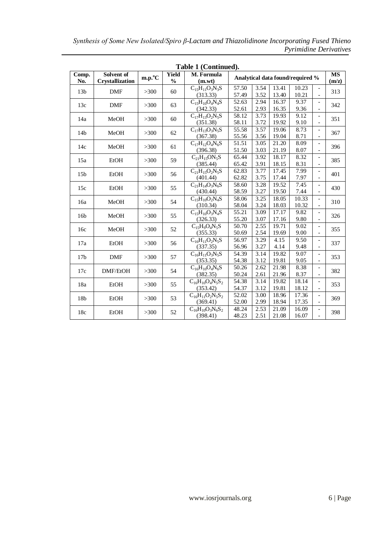|                 | Table 1 (Continued).                 |                 |                               |                                     |                                  |              |                |                |                                                      |     |
|-----------------|--------------------------------------|-----------------|-------------------------------|-------------------------------------|----------------------------------|--------------|----------------|----------------|------------------------------------------------------|-----|
| Comp.<br>No.    | Solvent of<br><b>Crystallization</b> | $m.p.^{\circ}C$ | <b>Yield</b><br>$\frac{0}{0}$ | M. Formula<br>(m.wt)                | Analytical data found/required % |              |                |                | <b>MS</b><br>(m/z)                                   |     |
| 13 <sub>b</sub> | <b>DMF</b>                           | >300            | 60                            | $C_15H_{11}O_3N_3S$<br>(313.33)     | 57.50<br>57.49                   | 3.54<br>3.52 | 13.41<br>13.40 | 10.23<br>10.21 | $\overline{\phantom{a}}$                             | 313 |
| 13c             | <b>DMF</b>                           | >300            | 63                            | $C_{15}H_{10}O_4N_4S$<br>(342.33)   | 52.63<br>52.61                   | 2.94<br>2.93 | 16.37<br>16.35 | 9.37<br>9.36   |                                                      | 342 |
| 14a             | MeOH                                 | >300            | 60                            | $C_{17}H_{13}O_2N_5S$<br>(351.38)   | 58.12<br>58.11                   | 3.73<br>3.72 | 19.93<br>19.92 | 9.12<br>9.10   |                                                      | 351 |
| 14 <sub>b</sub> | MeOH                                 | >300            | 62                            | $C_{17}H_{13}O_3N_5S$<br>(367.38)   | 55.58<br>55.56                   | 3.57<br>3.56 | 19.06<br>19.04 | 8.73<br>8.71   |                                                      | 367 |
| 14c             | MeOH                                 | >300            | 61                            | $C_{17}H_{12}O_4N_6S$<br>(396.38)   | 51.51<br>51.50                   | 3.05<br>3.03 | 21.20<br>21.19 | 8.09<br>8.07   |                                                      | 396 |
| 15a             | EtOH                                 | >300            | 59                            | $C_{21}H_{15}ON_5S$<br>(385.44)     | 65.44<br>65.42                   | 3.92<br>3.91 | 18.17<br>18.15 | 8.32<br>8.31   |                                                      | 385 |
| 15 <sub>b</sub> | EtOH                                 | >300            | 56                            | $C_{21}H_{15}O_2N_5S$<br>(401.44)   | 62.83<br>62.82                   | 3.77<br>3.75 | 17.45<br>17.44 | 7.99<br>7.97   | $\overline{\phantom{a}}$                             | 401 |
| 15c             | EtOH                                 | >300            | 55                            | $C_{21}H_{14}O_3N_6S$<br>(430.44)   | 58.60<br>58.59                   | 3.28<br>3.27 | 19.52<br>19.50 | 7.45<br>7.44   | $\overline{\phantom{a}}$                             | 430 |
| 16a             | MeOH                                 | >300            | 54                            | $C_{15}H_{10}O_2N_4S$<br>(310.34)   | 58.06<br>58.04                   | 3.25<br>3.24 | 18.05<br>18.03 | 10.33<br>10.32 | $\overline{\phantom{a}}$<br>$\overline{\phantom{a}}$ | 310 |
| 16 <sub>b</sub> | MeOH                                 | >300            | 55                            | $C_{15}H_{10}O_3N_4S$<br>(326.33)   | 55.21<br>55.20                   | 3.09<br>3.07 | 17.17<br>17.16 | 9.82<br>9.80   | $\overline{\phantom{a}}$                             | 326 |
| 16c             | MeOH                                 | >300            | 52                            | $C_{15}H_9O_4N_5S$<br>(355.33)      | 50.70<br>50.69                   | 2.55<br>2.54 | 19.71<br>19.69 | 9.02<br>9.00   | $\overline{\phantom{a}}$<br>$\overline{\phantom{a}}$ | 355 |
| 17a             | EtOH                                 | >300            | 56                            | $C_{16}H_{11}O_2N_5S$<br>(337.35)   | 56.97<br>56.96                   | 3.29<br>3.27 | 4.15<br>4.14   | 9.50<br>9.48   | $\overline{\phantom{a}}$<br>$\overline{\phantom{a}}$ | 337 |
| 17 <sub>b</sub> | <b>DMF</b>                           | >300            | 57                            | $C_{16}H_{11}O_3N_5S$<br>(353.35)   | 54.39<br>54.38                   | 3.14<br>3.12 | 19.82<br>19.81 | 9.07<br>9.05   | $\overline{\phantom{a}}$<br>$\overline{\phantom{a}}$ | 353 |
| 17c             | DMF/EtOH                             | >300            | 54                            | $C_{16}H_{10}O_4N_6S$<br>(382.35)   | 50.26<br>50.24                   | 2.62<br>2.61 | 21.98<br>21.96 | 8.38<br>8.37   | $\overline{\phantom{a}}$                             | 382 |
| 18a             | EtOH                                 | >300            | 55                            | $C_{16}H_{10}O_4N_5S_2$<br>(353.42) | 54.38<br>54.37                   | 3.14<br>3.12 | 19.82<br>19.81 | 18.14<br>18.12 | $\overline{\phantom{a}}$                             | 353 |
| 18 <sub>b</sub> | EtOH                                 | >300            | 53                            | $C_{16}H_{11}O_2N_5S_2$<br>(369.41) | 52.02<br>52.00                   | 3.00<br>2.99 | 18.96<br>18.94 | 17.36<br>17.35 | $\overline{\phantom{a}}$<br>$\overline{\phantom{a}}$ | 369 |
| 18c             | EtOH                                 | >300            | 52                            | $C_{16}H_{10}O_3N_6S_2$<br>(398.41) | 48.24<br>48.23                   | 2.53<br>2.51 | 21.09<br>21.08 | 16.09<br>16.07 | $\overline{\phantom{a}}$                             | 398 |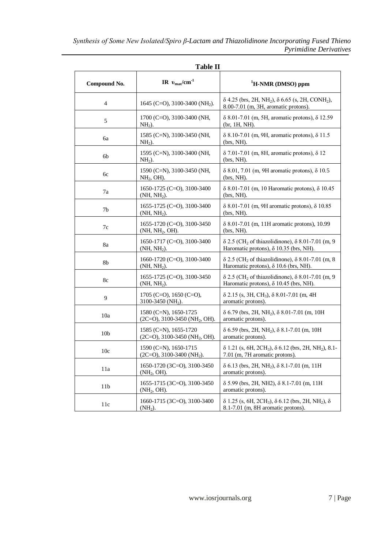|                 | <b>Table II</b>                                                           |                                                                                                                                     |  |  |  |  |  |
|-----------------|---------------------------------------------------------------------------|-------------------------------------------------------------------------------------------------------------------------------------|--|--|--|--|--|
| Compound No.    | IR $v_{\text{max}}/cm^{-1}$                                               | <sup>1</sup> H-NMR (DMSO) ppm                                                                                                       |  |  |  |  |  |
| $\overline{4}$  | 1645 (C=O), 3100-3400 (NH <sub>2</sub> ).                                 | $\delta$ 4.25 (brs, 2H, NH <sub>2</sub> ), $\delta$ 6.65 (s, 2H, CONH <sub>2</sub> ),<br>8.00-7.01 (m, 3H, aromatic protons).       |  |  |  |  |  |
| 5               | $1700$ (C=O), 3100-3400 (NH,<br>$NH2$ ).                                  | $\delta$ 8.01-7.01 (m, 5H, aromatic protons), $\delta$ 12.59<br>$(br, 1H, NH)$ .                                                    |  |  |  |  |  |
| ба              | 1585 (C=N), 3100-3450 (NH,<br>$NH2$ ).                                    | $\delta$ 8.10-7.01 (m, 9H, aromatic protons), $\delta$ 11.5<br>$(brs, NH)$ .                                                        |  |  |  |  |  |
| 6b              | 1595 (C=N), 3100-3400 (NH,<br>$NH2$ ).                                    | $\delta$ 7.01-7.01 (m, 8H, aromatic protons), $\delta$ 12<br>$(brs, NH)$ .                                                          |  |  |  |  |  |
| 6c              | 1590 (C=N), 3100-3450 (NH,<br>$NH2$ , OH).                                | $\delta$ 8.01, 7.01 (m, 9H aromatic protons), $\delta$ 10.5<br>$(brs, NH)$ .                                                        |  |  |  |  |  |
| 7a              | 1650-1725 (C=O), 3100-3400<br>(NH, NH <sub>2</sub> ).                     | $δ 8.01-7.01$ (m, 10 Haromatic protons), $δ 10.45$<br>$(brs, NH)$ .                                                                 |  |  |  |  |  |
| 7b              | 1655-1725 (C=O), 3100-3400<br>(NH, NH <sub>2</sub> ).                     | $\delta$ 8.01-7.01 (m, 9H aromatic protons), $\delta$ 10.85<br>$(brs, NH)$ .                                                        |  |  |  |  |  |
| 7c              | 1655-1720 (C=O), 3100-3450<br>(NH, NH <sub>2</sub> , OH).                 | δ 8.01-7.01 (m, 11H aromatic protons), 10.99<br>(brs, NH).                                                                          |  |  |  |  |  |
| 8a              | 1650-1717 (C=O), 3100-3400<br>(NH, NH <sub>2</sub> ).                     | $\delta$ 2.5 (CH <sub>2</sub> of thiazolidinone), $\delta$ 8.01-7.01 (m, 9)<br>Haromatic protons), $\delta$ 10.35 (brs, NH).        |  |  |  |  |  |
| 8b              | 1660-1720 (C=O), 3100-3400<br>(NH, NH <sub>2</sub> ).                     | $\delta$ 2.5 (CH <sub>2</sub> of thiazolidinone), $\delta$ 8.01-7.01 (m, 8)<br>Haromatic protons), $\delta$ 10.6 (brs, NH).         |  |  |  |  |  |
| 8c              | 1655-1725 (C=O), 3100-3450<br>$(NH, NH2)$ .                               | $\delta$ 2.5 (CH <sub>2</sub> of thiazolidinone), $\delta$ 8.01-7.01 (m, 9)<br>Haromatic protons), $\delta$ 10.45 (brs, NH).        |  |  |  |  |  |
| 9               | 1705 (C=O), 1650 (C=O),<br>3100-3450 (NH <sub>2</sub> ).                  | $\delta$ 2.15 (s, 3H, CH <sub>3</sub> ), $\delta$ 8.01-7.01 (m, 4H<br>aromatic protons).                                            |  |  |  |  |  |
| 10a             | $1580$ (C=N), $1650-1725$<br>$(2C=O)$ , 3100-3450 (NH <sub>2</sub> , OH). | $\delta$ 6.79 (brs, 2H, NH <sub>2</sub> ), $\delta$ 8.01-7.01 (m, 10H<br>aromatic protons).                                         |  |  |  |  |  |
| 10 <sub>b</sub> | 1585 (C=N), 1655-1720<br>$(2C=O)$ , 3100-3450 (NH <sub>2</sub> , OH).     | $\delta$ 6.59 (brs, 2H, NH <sub>2</sub> ), $\delta$ 8.1-7.01 (m, 10H)<br>aromatic protons).                                         |  |  |  |  |  |
| 10 <sub>c</sub> | $1590$ (C=N), $1650-1715$<br>$(2C=O)$ , 3100-3400 (NH <sub>2</sub> ).     | $\delta$ 1.21 (s, 6H, 2CH <sub>3</sub> ), $\delta$ 6.12 (brs, 2H, NH <sub>2</sub> ), 8.1-<br>7.01 (m, 7H aromatic protons).         |  |  |  |  |  |
| 11a             | 1650-1720 (3C=O), 3100-3450<br>(NH <sub>2</sub> , OH).                    | $\delta$ 6.13 (brs, 2H, NH <sub>2</sub> ), $\delta$ 8.1-7.01 (m, 11H)<br>aromatic protons).                                         |  |  |  |  |  |
| 11 <sub>b</sub> | 1655-1715 (3C=O), 3100-3450<br>(NH <sub>2</sub> , OH).                    | $\delta$ 5.99 (brs, 2H, NH2), $\delta$ 8.1-7.01 (m, 11H)<br>aromatic protons).                                                      |  |  |  |  |  |
| 11c             | 1660-1715 (3C=O), 3100-3400<br>$(NH2)$ .                                  | $\delta$ 1.25 (s, 6H, 2CH <sub>3</sub> ), $\delta$ 6.12 (brs, 2H, NH <sub>2</sub> ), $\delta$<br>8.1-7.01 (m, 8H aromatic protons). |  |  |  |  |  |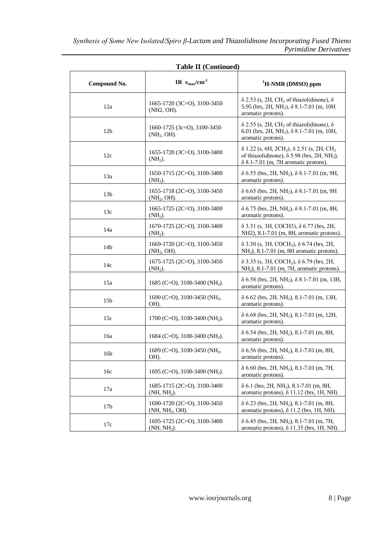|                 | <b>Table II (Continued)</b>                                |                                                                                                                                                                                                    |  |  |  |  |
|-----------------|------------------------------------------------------------|----------------------------------------------------------------------------------------------------------------------------------------------------------------------------------------------------|--|--|--|--|
| Compound No.    | IR $v_{\text{max}}/cm^{-1}$                                | <sup>1</sup> H-NMR (DMSO) ppm                                                                                                                                                                      |  |  |  |  |
| 12a             | 1665-1720 (3C=O), 3100-3450<br>(NH2, OH).                  | $\delta$ 2.53 (s, 2H, CH <sub>2</sub> of thiazolidinone), $\delta$<br>5.95 (brs, 2H, NH <sub>2</sub> ), $\delta$ 8.1-7.01 (m, 10H)<br>aromatic protons).                                           |  |  |  |  |
| 12 <sub>b</sub> | $1660-1725$ (3c=O), 3100-3450<br>(NH <sub>2</sub> , OH).   | $\delta$ 2.55 (s, 2H, CH <sub>2</sub> of thiazolidinone), $\delta$<br>6.01 (brs, 2H, NH <sub>2</sub> ), $\delta$ 8.1-7.01 (m, 10H,<br>aromatic protons).                                           |  |  |  |  |
| 12c             | 1655-1720 (3C=O), 3100-3400<br>$(NH2)$ .                   | $\delta$ 1.22 (s, 6H, 2CH <sub>3</sub> ), $\delta$ 2.51 (s, 2H, CH <sub>2</sub> )<br>of thiazolidinone), $\delta$ 5.98 (brs, 2H, NH <sub>2</sub> ),<br>$\delta$ 8.1-7.01 (m, 7H aromatic protons). |  |  |  |  |
| 13a             | $1650-1715$ (2C=O), 3100-3400<br>$(NH2)$ .                 | $\delta$ 6.55 (brs, 2H, NH <sub>2</sub> ), $\delta$ 8.1-7.01 (m, 9H,<br>aromatic protons).                                                                                                         |  |  |  |  |
| 13 <sub>b</sub> | 1655-1718 (2C=O), 3100-3450<br>(NH <sub>2</sub> , OH).     | $\delta$ 6.65 (brs, 2H, NH <sub>2</sub> ), $\delta$ 8.1-7.01 (m, 9H<br>aromatic protons).                                                                                                          |  |  |  |  |
| 13c             | 1665-1725 (2C=O), 3100-3400<br>$(NH2)$ .                   | $\delta$ 6.75 (brs, 2H, NH <sub>2</sub> ), $\delta$ 8.1-7.01 (m, 8H,<br>aromatic protons).                                                                                                         |  |  |  |  |
| 14a             | $1670-1725$ (2C=O), 3100-3400<br>$(NH2)$ .                 | $\delta$ 3.31 (s, 3H, COCH3), $\delta$ 6.77 (brs, 2H,<br>NH2), 8.1-7.01 (m, 8H, aromatic protons).                                                                                                 |  |  |  |  |
| 14b             | 1669-1720 (2C=O), 3100-3450<br>(NH <sub>2</sub> , OH).     | $\delta$ 3.30 (s, 3H, COCH <sub>3</sub> ), $\delta$ 6.74 (brs, 2H,<br>$NH2$ ), 8.1-7.01 (m, 8H aromatic protons).                                                                                  |  |  |  |  |
| 14c             | 1675-1725 (2C=O), 3100-3450<br>$(NH2)$ .                   | $\delta$ 3.35 (s, 3H, COCH <sub>3</sub> ), $\delta$ 6.79 (brs, 2H,<br>$NH2$ ), 8.1-7.01 (m, 7H, aromatic protons).                                                                                 |  |  |  |  |
| 15a             | 1685 (C=O), 3100-3400 (NH <sub>2</sub> ).                  | $\delta$ 6.58 (brs, 2H, NH <sub>2</sub> ), $\delta$ 8.1-7.01 (m, 13H,<br>aromatic protons).                                                                                                        |  |  |  |  |
| 15 <sub>b</sub> | 1690 (C=O), 3100-3450 (NH <sub>2</sub> ,<br>OH).           | $\delta$ 6.62 (brs, 2H, NH <sub>2</sub> ), 8.1-7.01 (m, 13H,<br>aromatic protons).                                                                                                                 |  |  |  |  |
| 15c             | 1700 (C=O), 3100-3400 (NH <sub>2</sub> ).                  | $\delta$ 6.68 (brs, 2H, NH <sub>2</sub> ), 8.1-7.01 (m, 12H,<br>aromatic protons).                                                                                                                 |  |  |  |  |
| 16a             | 1684 (C=O), 3100-3400 (NH <sub>2</sub> ).                  | $\delta$ 6.54 (brs, 2H, NH <sub>2</sub> ), 8.1-7.01 (m, 8H,<br>aromatic protons).                                                                                                                  |  |  |  |  |
| 16b             | 1689 (C=O), 3100-3450 (NH <sub>2</sub> ,<br>OH).           | δ 6.56 (brs, 2H, NH <sub>2</sub> ), 8.1-7.01 (m, 8H,<br>aromatic protons).                                                                                                                         |  |  |  |  |
| 16c             | 1695 (C=O), 3100-3400 (NH <sub>2</sub> ).                  | $\delta$ 6.60 (brs, 2H, NH <sub>2</sub> ), 8.1-7.01 (m, 7H,<br>aromatic protons).                                                                                                                  |  |  |  |  |
| 17a             | 1685-1715 (2C=O), 3100-3400<br>$(NH, NH2)$ .               | $\delta$ 6.1 (brs, 2H, NH <sub>2</sub> ), 8.1-7.01 (m, 8H,<br>aromatic protons), $\delta$ 11.12 (brs, 1H, NH).                                                                                     |  |  |  |  |
| 17 <sub>b</sub> | 1690-1720 (2C=O), 3100-3450<br>(NH, NH <sub>2</sub> , OH). | $\delta$ 6.23 (brs, 2H, NH <sub>2</sub> ), 8.1-7.01 (m, 8H,<br>aromatic protons), $\delta$ 11.2 (brs, 1H, NH).                                                                                     |  |  |  |  |
| 17c             | 1695-1725 (2C=O), 3100-3400<br>(NH, NH2).                  | δ 6.45 (brs, 2H, NH <sub>2</sub> ), 8.1-7.01 (m, 7H,<br>aromatic protons), $\delta$ 11.35 (brs, 1H, NH)                                                                                            |  |  |  |  |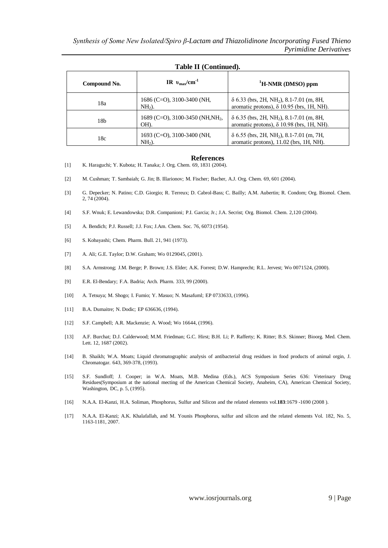| Compound No. | IR $v_{\text{max}}/cm^{-1}$                          | <sup>1</sup> H-NMR (DMSO) ppm                                                                                   |
|--------------|------------------------------------------------------|-----------------------------------------------------------------------------------------------------------------|
| 18a          | $1686$ (C=O), 3100-3400 (NH,<br>$NH2$ ).             | δ 6.33 (brs, 2H, NH <sub>2</sub> ), 8.1-7.01 (m, 8H,<br>aromatic protons), $\delta$ 10.95 (brs, 1H, NH).        |
| 18b          | 1689 (C=O), 3100-3450 (NH, NH <sub>2</sub> ,<br>OH). | $\delta$ 6.35 (brs, 2H, NH <sub>2</sub> ), 8.1-7.01 (m, 8H,<br>aromatic protons), $\delta$ 10.98 (brs, 1H, NH). |
| 18c          | $1693$ (C=O), 3100-3400 (NH,<br>$NH2$ ).             | $\delta$ 6.55 (brs, 2H, NH <sub>2</sub> ), 8.1-7.01 (m, 7H,<br>aromatic protons), 11.02 (brs, 1H, NH).          |

# **Table II (Continued).**

#### **References**

- [1] K. Haraguchi; Y. Kubota; H. Tanaka; J. Org. Chem. 69, 1831 (2004).
- [2] M. Cushman; T. Sambaiah; G. Jin; B. Illarionov; M. Fischer; Bacher, A.J. Org. Chem. 69, 601 (2004).
- [3] G. Depecker; N. Patino; C.D. Giorgio; R. Terreux; D. Cabrol-Bass; C. Bailly; A.M. Aubertin; R. Condom; Org. Biomol. Chem. 2, 74 (2004).
- [4] S.F. Wnuk; E. Lewandowska; D.R. Companioni; P.I. Garcia; Jr.; J.A. Secrist; Org. Biomol. Chem. 2,120 (2004).
- [5] A. Bendich; P.J. Russell; J.J. Fox; J.Am. Chem. Soc. 76, 6073 (1954).
- [6] S. Kobayashi; Chem. Pharm. Bull. 21, 941 (1973).
- [7] A. Ali; G.E. Taylor; D.W. Graham; Wo 0129045, (2001).
- [8] S.A. Armstrong; J.M. Berge; P. Brown; J.S. Elder; A.K. Forrest; D.W. Hamprecht; R.L. Jervest; Wo 0071524, (2000).
- [9] E.R. El-Bendary; F.A. Badria; Arch. Pharm. 333, 99 (2000).
- [10] A. Tetsuya; M. Shogo; I. Fumio; Y. Masuo; N. Masafuml; EP 0733633, (1996).
- [11] B.A. Dumaitre; N. Dodic; EP 636636, (1994).
- [12] S.F. Campbell; A.R. Mackenzie; A. Wood; Wo 16644, (1996).
- [13] A.F. Burchat; D.J. Calderwood; M.M. Friedman; G.C. Hirst; B.H. Li; P. Rafferty; K. Ritter; B.S. Skinner; Bioorg. Med. Chem. Lett. 12, 1687 (2002).
- [14] B. Shaikh; W.A. Moats; Liquid chromatographic analysis of antibacterial drug residues in food products of animal orgin, J. Chromatogar. 643, 369-378, (1993).
- [15] S.F. Sundloff; J. Cooper; in W.A. Moats, M.B. Medina (Eds.), ACS Symposium Series 636: Veterinary Drug Residues(Symposium at the national mecting of the American Chemical Society, Anaheim, CA), American Chemical Society, Washington, DC, p. 5, (1995).
- [16] N.A.A. El-Kanzi, H.A. Soliman, Phosphorus, Sulfur and Silicon and the related elements vol.**183**:1679 -1690 (2008 ).
- [17] N.A.A. El-Kanzi; A.K. Khalafallah, and M. Younis Phosphorus, sulfur and silicon and the related elements Vol. 182, No. 5, 1163-1181, 2007.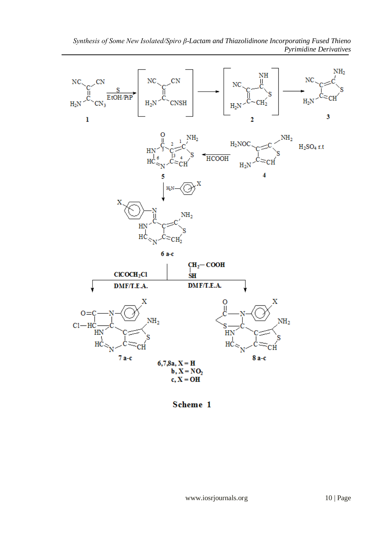

Scheme 1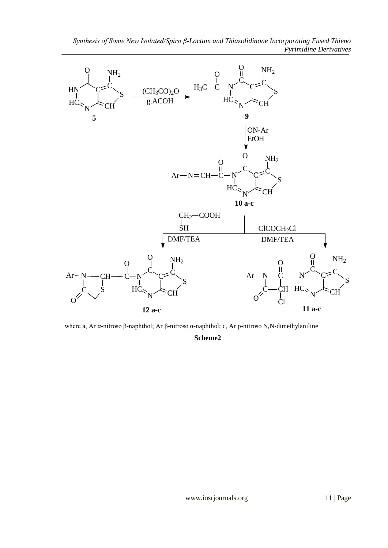

where a, Ar α-nitroso β-naphthol; Ar β-nitroso α-naphthol; c, Ar p-nitroso N,N-dimethylaniline **Scheme2**